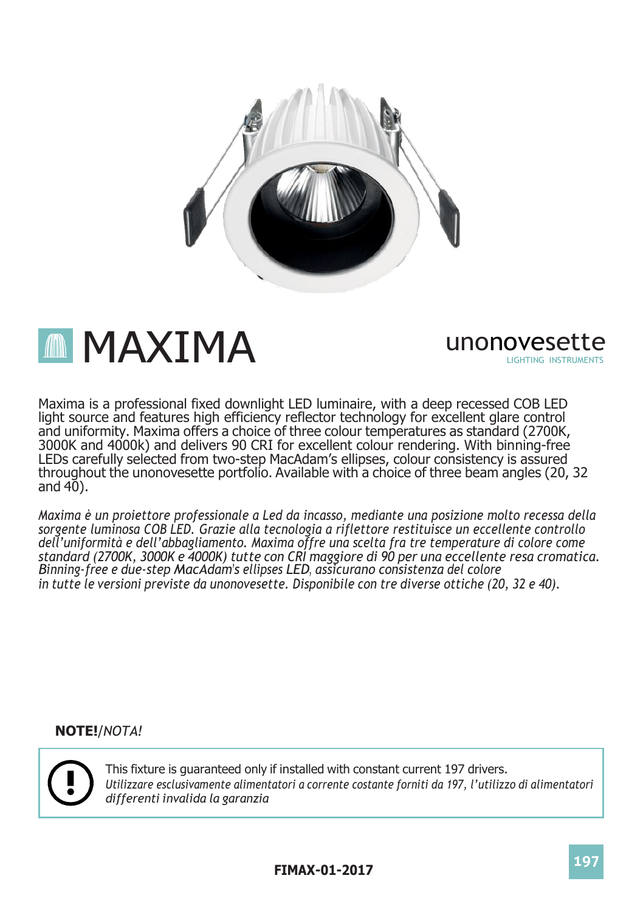

**MMAXIMA** unonovesette

LIGHTING INSTRUMENTS

Maxima is a professional fixed downlight LED luminaire, with a deep recessed COB LED light source and features high efficiency reflector technology for excellent glare control and uniformity. Maxima offers a choice of three colour temperatures as standard (2700K, 3000K and 4000k) and delivers 90 CRI for excellent colour rendering. With binning-free LEDs carefully selected from two-step MacAdam's ellipses, colour consistency is assured throughout the unonovesette portfolio. Available with a choice of three beam angles (20, 32 and  $40$ ).

*Maxima è un proiettore professionale a Led da incasso, mediante una posizione molto recessa della sorgente luminosa COB LED. Grazie alla tecnologia a riflettore restituisce un eccellente controllo dell'uniformità e dell'abbagliamento. Maxima offre una scelta fra tre temperature di colore come standard (2700K, 3000K e 4000K) tutte con CRI maggiore di 90 per una eccellente resa cromatica. Binning-free e due-step MacAdam's ellipses LED, assicurano consistenza del colore in tutte le versioni previste da unonovesette. Disponibile con tre diverse ottiche (20, 32 e 40).*

**NOTE!**/*NOTA!*



This fixture is guaranteed only if installed with constant current 197 drivers. *Utilizzare esclusivamente alimentatori a corrente costante forniti da 197, l'utilizzo di alimentatori differenti invalida la garanzia*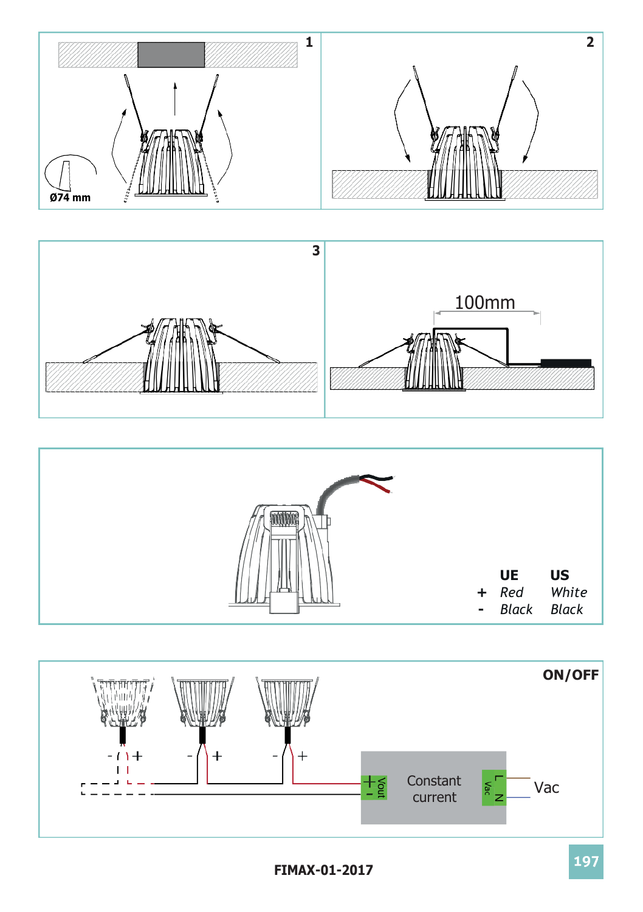





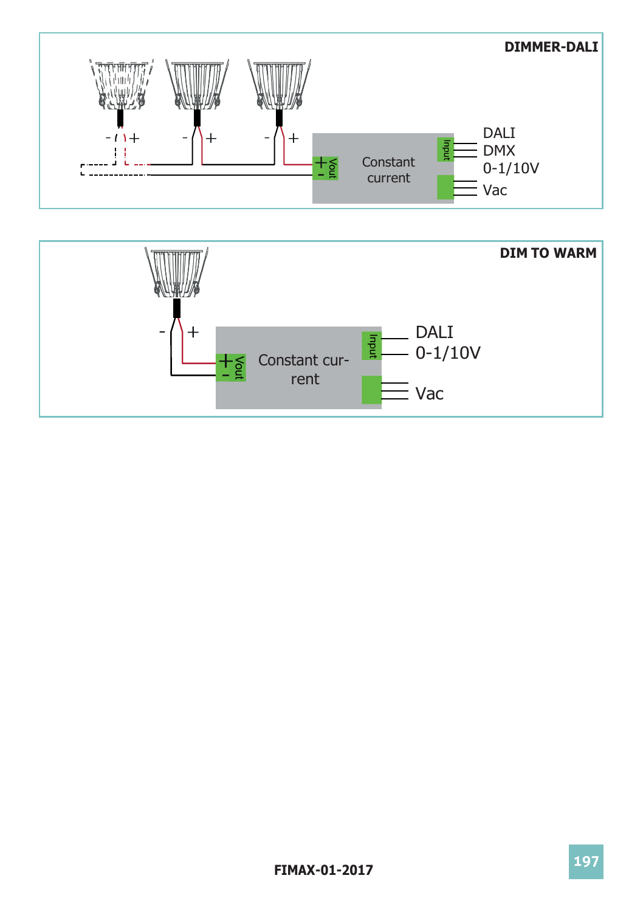